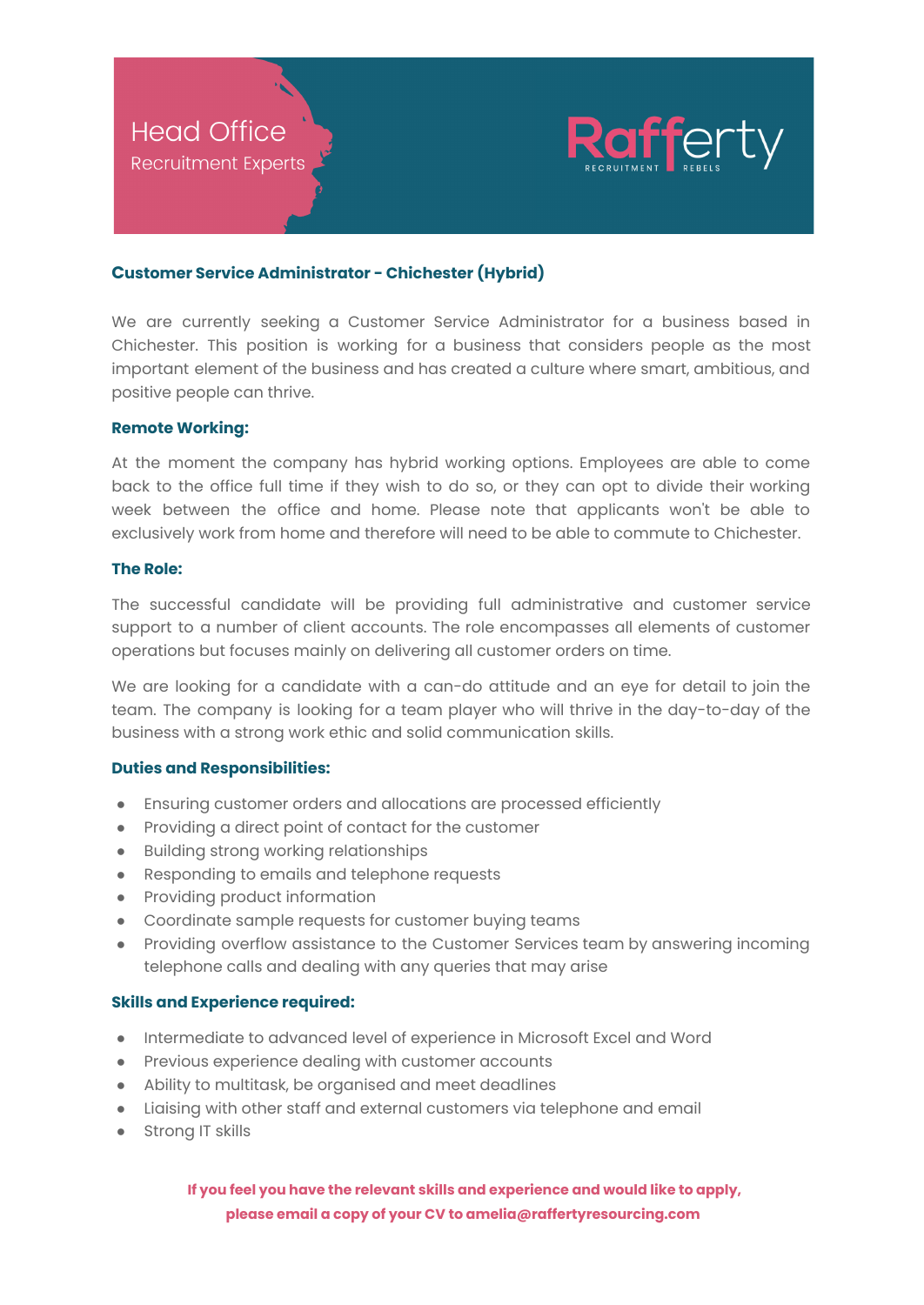

# **Customer Service Administrator - Chichester (Hybrid)**

We are currently seeking a Customer Service Administrator for a business based in Chichester. This position is working for a business that considers people as the most important element of the business and has created a culture where smart, ambitious, and positive people can thrive.

## **Remote Working:**

At the moment the company has hybrid working options. Employees are able to come back to the office full time if they wish to do so, or they can opt to divide their working week between the office and home. Please note that applicants won't be able to exclusively work from home and therefore will need to be able to commute to Chichester.

## **The Role:**

The successful candidate will be providing full administrative and customer service support to a number of client accounts. The role encompasses all elements of customer operations but focuses mainly on delivering all customer orders on time.

We are looking for a candidate with a can-do attitude and an eye for detail to join the team. The company is looking for a team player who will thrive in the day-to-day of the business with a strong work ethic and solid communication skills.

#### **Duties and Responsibilities:**

- Ensuring customer orders and allocations are processed efficiently
- Providing a direct point of contact for the customer
- Building strong working relationships
- Responding to emails and telephone requests
- Providing product information
- Coordinate sample requests for customer buying teams
- Providing overflow assistance to the Customer Services team by answering incoming telephone calls and dealing with any queries that may arise

## **Skills and Experience required:**

- Intermediate to advanced level of experience in Microsoft Excel and Word
- Previous experience dealing with customer accounts
- Ability to multitask, be organised and meet deadlines
- Liaising with other staff and external customers via telephone and email
- Strong IT skills

**If you feel you have the relevant skills and experience and would like to apply, please email a copy of your CV to amelia@raffertyresourcing.com**